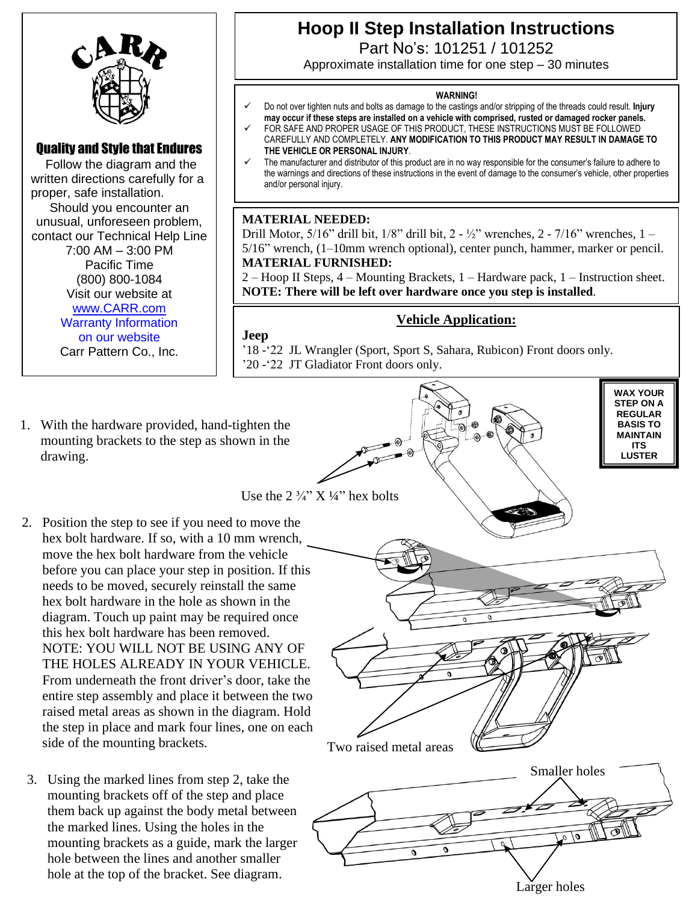

## Quality and Style that Endures

 Follow the diagram and the written directions carefully for a proper, safe installation. Should you encounter an unusual, unforeseen problem, contact our Technical Help Line 7:00 AM – 3:00 PM Pacific Time (800) 800-1084 Visit our website at [www.CARR.com](http://www.carr.com/) Warranty Information on our website Carr Pattern Co., Inc.

# **Hoop II Step Installation Instructions**

Part No's: 101251 / 101252

Approximate installation time for one step – 30 minutes

#### **WARNING!**

- ✓ Do not over tighten nuts and bolts as damage to the castings and/or stripping of the threads could result. **Injury may occur if these steps are installed on a vehicle with comprised, rusted or damaged rocker panels.** FOR SAFE AND PROPER USAGE OF THIS PRODUCT, THESE INSTRUCTIONS MUST BE FOLLOWED
- CAREFULLY AND COMPLETELY. **ANY MODIFICATION TO THIS PRODUCT MAY RESULT IN DAMAGE TO THE VEHICLE OR PERSONAL INJURY**.
- The manufacturer and distributor of this product are in no way responsible for the consumer's failure to adhere to the warnings and directions of these instructions in the event of damage to the consumer's vehicle, other properties and/or personal injury.

## **MATERIAL NEEDED:**

Drill Motor, 5/16" drill bit, 1/8" drill bit, 2 - ½" wrenches, 2 - 7/16" wrenches, 1 – 5/16" wrench, (1–10mm wrench optional), center punch, hammer, marker or pencil. **MATERIAL FURNISHED:**

2 – Hoop II Steps, 4 – Mounting Brackets, 1 – Hardware pack, 1 – Instruction sheet. **NOTE: There will be left over hardware once you step is installed**.

## **Vehicle Application:**

Larger holes

Smaller holes

0

**WAX YOUR STEP ON A REGULAR BASIS TO MAINTAIN ITS LUSTER**

**Jeep** '18 -'22 JL Wrangler (Sport, Sport S, Sahara, Rubicon) Front doors only. '20 -'22 JT Gladiator Front doors only.

Two raised metal areas

1. With the hardware provided, hand-tighten the mounting brackets to the step as shown in the drawing.

Use the  $2\frac{3}{4}$ " X  $\frac{1}{4}$ " hex bolts

- 2. Position the step to see if you need to move the hex bolt hardware. If so, with a 10 mm wrench, move the hex bolt hardware from the vehicle before you can place your step in position. If this needs to be moved, securely reinstall the same hex bolt hardware in the hole as shown in the diagram. Touch up paint may be required once this hex bolt hardware has been removed. NOTE: YOU WILL NOT BE USING ANY OF THE HOLES ALREADY IN YOUR VEHICLE. From underneath the front driver's door, take the entire step assembly and place it between the two raised metal areas as shown in the diagram. Hold the step in place and mark four lines, one on each side of the mounting brackets.
- 3. Using the marked lines from step 2, take the mounting brackets off of the step and place them back up against the body metal between the marked lines. Using the holes in the mounting brackets as a guide, mark the larger hole between the lines and another smaller hole at the top of the bracket. See diagram.